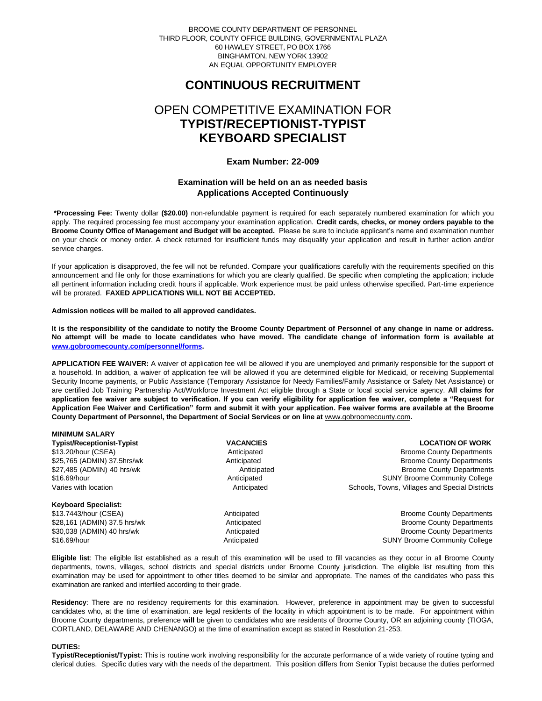BROOME COUNTY DEPARTMENT OF PERSONNEL THIRD FLOOR, COUNTY OFFICE BUILDING, GOVERNMENTAL PLAZA 60 HAWLEY STREET, PO BOX 1766 BINGHAMTON, NEW YORK 13902 AN EQUAL OPPORTUNITY EMPLOYER

## **CONTINUOUS RECRUITMENT**

# OPEN COMPETITIVE EXAMINATION FOR **TYPIST/RECEPTIONIST-TYPIST KEYBOARD SPECIALIST**

## **Exam Number: 22-009**

## **Examination will be held on an as needed basis Applications Accepted Continuously**

**\*Processing Fee:** Twenty dollar **(\$20.00)** non-refundable payment is required for each separately numbered examination for which you apply. The required processing fee must accompany your examination application. **Credit cards, checks, or money orders payable to the Broome County Office of Management and Budget will be accepted.** Please be sure to include applicant's name and examination number on your check or money order. A check returned for insufficient funds may disqualify your application and result in further action and/or service charges.

If your application is disapproved, the fee will not be refunded. Compare your qualifications carefully with the requirements specified on this announcement and file only for those examinations for which you are clearly qualified. Be specific when completing the application; include all pertinent information including credit hours if applicable. Work experience must be paid unless otherwise specified. Part-time experience will be prorated. **FAXED APPLICATIONS WILL NOT BE ACCEPTED.** 

### **Admission notices will be mailed to all approved candidates.**

**It is the responsibility of the candidate to notify the Broome County Department of Personnel of any change in name or address. No attempt will be made to locate candidates who have moved. The candidate change of information form is available at [www.gobroomecounty.com/personnel/forms.](http://www.gobroomecounty.com/personnel/forms)** 

**APPLICATION FEE WAIVER:** A waiver of application fee will be allowed if you are unemployed and primarily responsible for the support of a household. In addition, a waiver of application fee will be allowed if you are determined eligible for Medicaid, or receiving Supplemental Security Income payments, or Public Assistance (Temporary Assistance for Needy Families/Family Assistance or Safety Net Assistance) or are certified Job Training Partnership Act/Workforce Investment Act eligible through a State or local social service agency. **All claims for application fee waiver are subject to verification. If you can verify eligibility for application fee waiver, complete a "Request for Application Fee Waiver and Certification" form and submit it with your application. Fee waiver forms are available at the Broome County Department of Personnel, the Department of Social Services or on line at** www.gobroomecounty.com**.** 

| <b>MINIMUM SALARY</b>             |                  |                                                |
|-----------------------------------|------------------|------------------------------------------------|
| <b>Typist/Receptionist-Typist</b> | <b>VACANCIES</b> | <b>LOCATION OF WORK</b>                        |
| \$13.20/hour (CSEA)               | Anticipated      | <b>Broome County Departments</b>               |
| \$25,765 (ADMIN) 37.5hrs/wk       | Anticipated      | <b>Broome County Departments</b>               |
| \$27,485 (ADMIN) 40 hrs/wk        | Anticipated      | <b>Broome County Departments</b>               |
| \$16.69/hour                      | Anticipated      | <b>SUNY Broome Community College</b>           |
| Varies with location              | Anticipated      | Schools, Towns, Villages and Special Districts |
| <b>Keyboard Specialist:</b>       |                  |                                                |
| \$13.7443/hour (CSEA)             | Anticipated      | <b>Broome County Departments</b>               |
| \$28,161 (ADMIN) 37.5 hrs/wk      | Anticipated      | <b>Broome County Departments</b>               |
| \$30,038 (ADMIN) 40 hrs/wk        | Anticpated       | <b>Broome County Departments</b>               |
| \$16.69/hour                      | Anticipated      | <b>SUNY Broome Community College</b>           |

**Eligible list**: The eligible list established as a result of this examination will be used to fill vacancies as they occur in all Broome County departments, towns, villages, school districts and special districts under Broome County jurisdiction. The eligible list resulting from this examination may be used for appointment to other titles deemed to be similar and appropriate. The names of the candidates who pass this examination are ranked and interfiled according to their grade.

**Residency**: There are no residency requirements for this examination. However, preference in appointment may be given to successful candidates who, at the time of examination, are legal residents of the locality in which appointment is to be made. For appointment within Broome County departments, preference **will** be given to candidates who are residents of Broome County, OR an adjoining county (TIOGA, CORTLAND, DELAWARE AND CHENANGO) at the time of examination except as stated in Resolution 21-253.

## **DUTIES:**

**Typist/Receptionist/Typist:** This is routine work involving responsibility for the accurate performance of a wide variety of routine typing and clerical duties. Specific duties vary with the needs of the department. This position differs from Senior Typist because the duties performed